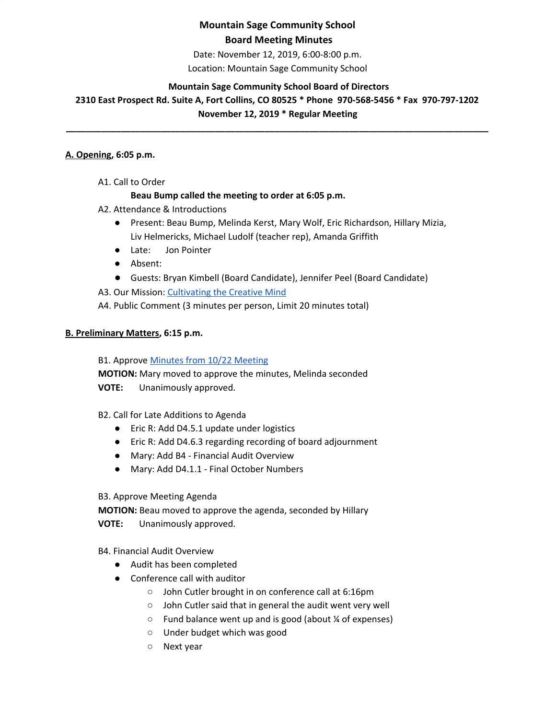# **Mountain Sage Community School**

### **Board Meeting Minutes**

Date: November 12, 2019, 6:00-8:00 p.m.

Location: Mountain Sage Community School

#### **Mountain Sage Community School Board of Directors**

**2310 East Prospect Rd. Suite A, Fort Collins, CO 80525 \* Phone 970-568-5456 \* Fax 970-797-1202 November 12, 2019 \* Regular Meeting**

**\_\_\_\_\_\_\_\_\_\_\_\_\_\_\_\_\_\_\_\_\_\_\_\_\_\_\_\_\_\_\_\_\_\_\_\_\_\_\_\_\_\_\_\_\_\_\_\_\_\_\_\_\_\_\_\_\_\_\_\_\_\_\_\_\_\_\_\_\_\_\_\_\_\_\_\_\_\_\_\_\_\_\_\_\_**

#### **A. Opening, 6:05 p.m.**

A1. Call to Order

#### **Beau Bump called the meeting to order at 6:05 p.m.**

- A2. Attendance & Introductions
	- Present: Beau Bump, Melinda Kerst, Mary Wolf, Eric Richardson, Hillary Mizia, Liv Helmericks, Michael Ludolf (teacher rep), Amanda Griffith
	- Late: Jon Pointer
	- Absent:
	- Guests: Bryan Kimbell (Board Candidate), Jennifer Peel (Board Candidate)

A3. Our Mission: [Cultivating](http://www.mountainsage.org/mission-and-vision.html) the Creative Mind

A4. Public Comment (3 minutes per person, Limit 20 minutes total)

#### **B. Preliminary Matters, 6:15 p.m.**

B1. Approve Minutes from 10/22 [Meeting](https://docs.google.com/document/d/1ArHtA4bEBhbNLfI0o8w6r9mAh5D0wM9iGyXuFSOkHFo/edit?usp=sharing)

**MOTION:** Mary moved to approve the minutes, Melinda seconded **VOTE:** Unanimously approved.

B2. Call for Late Additions to Agenda

- Eric R: Add D4.5.1 update under logistics
- Eric R: Add D4.6.3 regarding recording of board adjournment
- Mary: Add B4 Financial Audit Overview
- Mary: Add D4.1.1 Final October Numbers

B3. Approve Meeting Agenda

**MOTION:** Beau moved to approve the agenda, seconded by Hillary **VOTE:** Unanimously approved.

B4. Financial Audit Overview

- Audit has been completed
- Conference call with auditor
	- John Cutler brought in on conference call at 6:16pm
	- John Cutler said that in general the audit went very well
	- Fund balance went up and is good (about ¼ of expenses)
	- Under budget which was good
	- Next year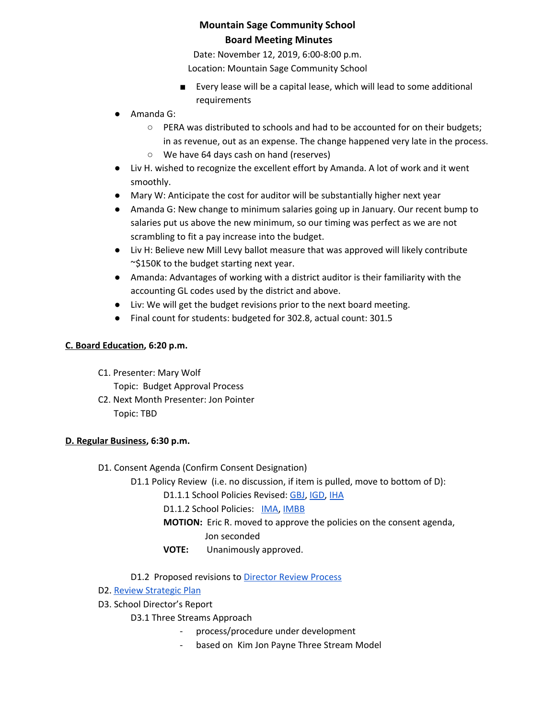Date: November 12, 2019, 6:00-8:00 p.m. Location: Mountain Sage Community School

- Every lease will be a capital lease, which will lead to some additional requirements
- Amanda G:
	- PERA was distributed to schools and had to be accounted for on their budgets; in as revenue, out as an expense. The change happened very late in the process.
	- We have 64 days cash on hand (reserves)
- Liv H. wished to recognize the excellent effort by Amanda. A lot of work and it went smoothly.
- Mary W: Anticipate the cost for auditor will be substantially higher next year
- Amanda G: New change to minimum salaries going up in January. Our recent bump to salaries put us above the new minimum, so our timing was perfect as we are not scrambling to fit a pay increase into the budget.
- Liv H: Believe new Mill Levy ballot measure that was approved will likely contribute ~\$150K to the budget starting next year.
- Amanda: Advantages of working with a district auditor is their familiarity with the accounting GL codes used by the district and above.
- Liv: We will get the budget revisions prior to the next board meeting.
- Final count for students: budgeted for 302.8, actual count: 301.5

## **C. Board Education, 6:20 p.m.**

- C1. Presenter: Mary Wolf
	- Topic: Budget Approval Process
- C2. Next Month Presenter: Jon Pointer Topic: TBD

## **D. Regular Business, 6:30 p.m.**

- D1. Consent Agenda (Confirm Consent Designation)
	- D1.1 Policy Review (i.e. no discussion, if item is pulled, move to bottom of D):
		- D1.1.1 School Policies Revised: [GBJ,](https://docs.google.com/document/d/1zBGL0j3BZn_8a9fgGaW4crvN8HBLy67ztJIEoGRNvtQ/edit?usp=sharing) [IGD,](https://drive.google.com/open?id=1dp0fAXOoFv1_XlJI0FYOgRRxLkpDFmdC1HH8hRpezBg) [IHA](https://docs.google.com/document/d/1rMNshX07qFv68v2FzhCZDtcOTvdvQ8-phi6XyMGnv2A/edit?usp=sharing)

D1.1.2 School Policies: [IMA,](https://drive.google.com/open?id=17VZ4vkdrp8DLRgyr_-75MwlUIkatEkjdCF-6v9eZCEo) [IMBB](https://drive.google.com/open?id=1qtnQKay_MQNjPbC1t9iNKTNyOhOYyx0p70X1lBEwv3k)

**MOTION:** Eric R. moved to approve the policies on the consent agenda,

## Jon seconded

**VOTE:** Unanimously approved.

D1.2 Proposed revisions t[o](https://docs.google.com/document/d/1UdgmXYE3posfh2bNuV6KAWxQvELogqQaY_AxWWZ-ydc/edit) [Director](https://docs.google.com/document/d/1UdgmXYE3posfh2bNuV6KAWxQvELogqQaY_AxWWZ-ydc/edit) Review Process

- D2. Review [Strategic](https://drive.google.com/file/d/1bIEAL8S8NnDx9PPJRR79h1dLsXFMCh-t/view?usp=sharing) Plan
- D3. School Director's Report

## D3.1 Three Streams Approach

- process/procedure under development
- based on Kim Jon Payne Three Stream Model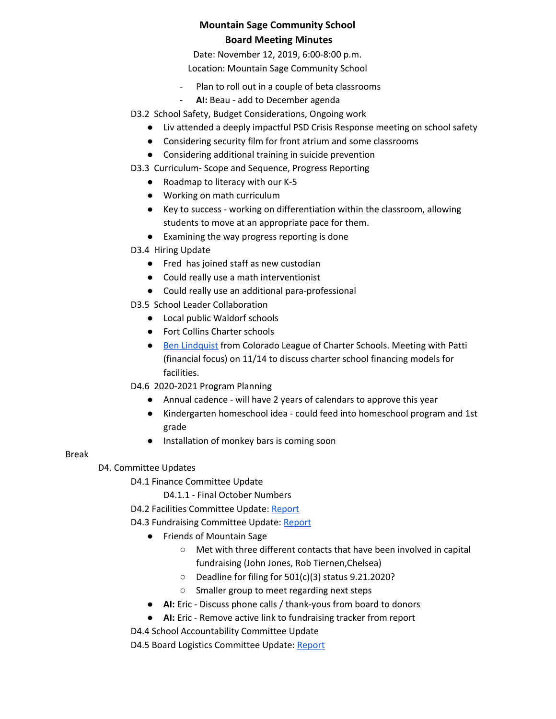Date: November 12, 2019, 6:00-8:00 p.m.

Location: Mountain Sage Community School

- Plan to roll out in a couple of beta classrooms
- **AI:** Beau add to December agenda
- D3.2 School Safety, Budget Considerations, Ongoing work
	- Liv attended a deeply impactful PSD Crisis Response meeting on school safety
	- Considering security film for front atrium and some classrooms
	- Considering additional training in suicide prevention

D3.3 Curriculum- Scope and Sequence, Progress Reporting

- Roadmap to literacy with our K-5
- Working on math curriculum
- Key to success working on differentiation within the classroom, allowing students to move at an appropriate pace for them.
- Examining the way progress reporting is done
- D3.4 Hiring Update
	- Fred has joined staff as new custodian
	- Could really use a math interventionist
	- Could really use an additional para-professional
- D3.5 School Leader Collaboration
	- Local public Waldorf schools
	- Fort Collins Charter schools
	- Ben [Lindquist](https://coloradoleague.org/page/benlindquist) from Colorado League of Charter Schools. Meeting with Patti (financial focus) on 11/14 to discuss charter school financing models for facilities.

D4.6 2020-2021 Program Planning

- Annual cadence will have 2 years of calendars to approve this year
- Kindergarten homeschool idea could feed into homeschool program and 1st grade
- Installation of monkey bars is coming soon

#### Break

D4. Committee Updates

D4.1 Finance Committee Update

D4.1.1 - Final October Numbers

D4.2 Facilities Committee Update: [Report](https://drive.google.com/file/d/1sXxDEocNKNUSeGsrclSPPxUad5MdptVv/view?usp=sharing)

- D4.3 Fundraising Committee Update: [Report](https://drive.google.com/file/d/1Cf8slWPOBFF-njs57_fiI2piAqsNl0mz/view?usp=sharing)
	- Friends of Mountain Sage
		- Met with three different contacts that have been involved in capital fundraising (John Jones, Rob Tiernen,Chelsea)
		- Deadline for filing for 501(c)(3) status 9.21.2020?
		- Smaller group to meet regarding next steps
	- **AI:** Eric Discuss phone calls / thank-yous from board to donors
	- **AI:** Eric Remove active link to fundraising tracker from report

D4.4 School Accountability Committee Update

D4.5 Board Logistics Committee Update: [Report](https://drive.google.com/file/d/1iQ0wx_ne4bKbJmcT7lMCWFO4vKLKvxqs/view?usp=sharing)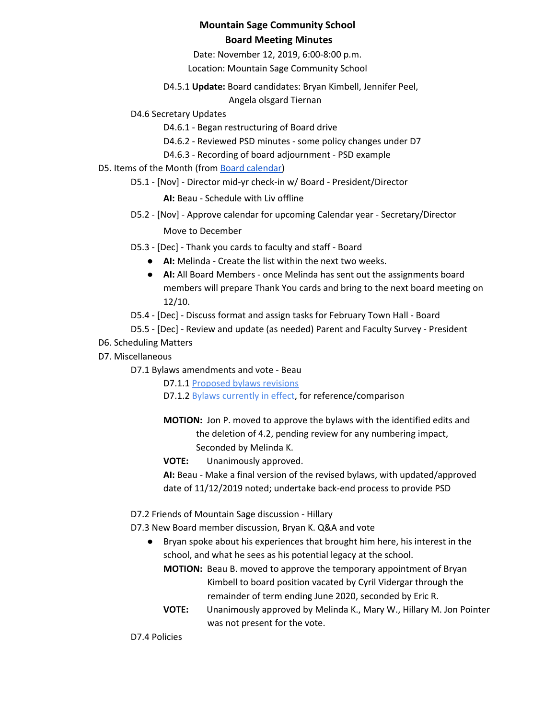Date: November 12, 2019, 6:00-8:00 p.m.

Location: Mountain Sage Community School

D4.5.1 **Update:** Board candidates: Bryan Kimbell, Jennifer Peel,

Angela olsgard Tiernan

D4.6 Secretary Updates

D4.6.1 - Began restructuring of Board drive

- D4.6.2 Reviewed PSD minutes some policy changes under D7
- D4.6.3 Recording of board adjournment PSD example
- D5. Items of the Month (from Board [calendar](https://docs.google.com/document/d/12S6s-qevYMsnj8Cr2yw6uMO7S7hL3gz2oKvXZk5ZndQ/edit?usp=sharing))
	- D5.1 [Nov] Director mid-yr check-in w/ Board President/Director

**AI:** Beau - Schedule with Liv offline

D5.2 - [Nov] - Approve calendar for upcoming Calendar year - Secretary/Director

Move to December

- D5.3 [Dec] Thank you cards to faculty and staff Board
	- **AI:** Melinda Create the list within the next two weeks.
	- **AI:** All Board Members once Melinda has sent out the assignments board members will prepare Thank You cards and bring to the next board meeting on 12/10.
- D5.4 [Dec] Discuss format and assign tasks for February Town Hall Board
- D5.5 [Dec] Review and update (as needed) Parent and Faculty Survey President
- D6. Scheduling Matters
- D7. Miscellaneous
	- D7.1 Bylaws amendments and vote Beau

D7.1.1 [Proposed](https://docs.google.com/document/d/18ly5zagJlFNgmPl4aDgzbKXqnwaEYzV4FFlG1qisgX8/edit) bylaws revisions D7.1.2 [B](https://docs.google.com/document/d/1GUAkOMKgoAFg3fQ8wofZJ0Syml1wOjNPEp8sCpAqpgk/edit)ylaws [currently](https://docs.google.com/document/d/1GUAkOMKgoAFg3fQ8wofZJ0Syml1wOjNPEp8sCpAqpgk/edit) in effect, for reference/comparison

**MOTION:** Jon P. moved to approve the bylaws with the identified edits and the deletion of 4.2, pending review for any numbering impact, Seconded by Melinda K.

**VOTE:** Unanimously approved.

**AI:** Beau - Make a final version of the revised bylaws, with updated/approved date of 11/12/2019 noted; undertake back-end process to provide PSD

- D7.2 Friends of Mountain Sage discussion Hillary
- D7.3 New Board member discussion, Bryan K. Q&A and vote
	- Bryan spoke about his experiences that brought him here, his interest in the school, and what he sees as his potential legacy at the school.
		- **MOTION:** Beau B. moved to approve the temporary appointment of Bryan Kimbell to board position vacated by Cyril Vidergar through the remainder of term ending June 2020, seconded by Eric R.
		- **VOTE:** Unanimously approved by Melinda K., Mary W., Hillary M. Jon Pointer was not present for the vote.

D7.4 Policies